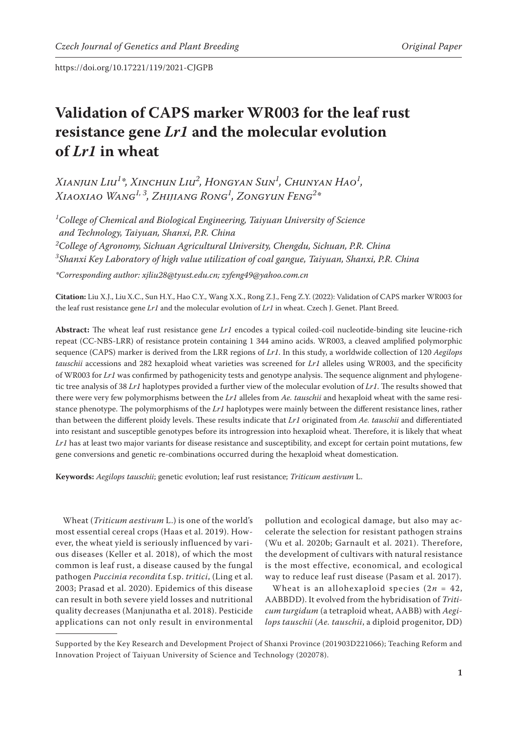# **Validation of CAPS marker WR003 for the leaf rust resistance gene** *Lr1* **and the molecular evolution of** *Lr1* **in wheat**

*Xianjun Liu1 \*, Xinchun Liu2 , Hongyan Sun1 , Chunyan Hao1 , Xiaoxiao Wang1, 3, Zhijiang Rong1 , Zongyun Feng2 \**

 *College of Chemical and Biological Engineering, Taiyuan University of Science and Technology, Taiyuan, Shanxi, P.R. China College of Agronomy, Sichuan Agricultural University, Chengdu, Sichuan, P.R. China Shanxi Key Laboratory of high value utilization of coal gangue, Taiyuan, Shanxi, P.R. China*

*\*Corresponding author: xjliu28@tyust.edu.cn; zyfeng49@yahoo.com.cn*

**Citation:** Liu X.J., LiuX.C., Sun H.Y., Hao C.Y., Wang X.X., Rong Z.J., Feng Z.Y. (2022): Validation of CAPS marker WR003 for the leaf rust resistance gene *Lr1* and the molecular evolution of *Lr1* in wheat. Czech J. Genet. Plant Breed.

**Abstract:** The wheat leaf rust resistance gene *Lr1* encodes a typical coiled-coil nucleotide-binding site leucine-rich repeat (CC-NBS-LRR) of resistance protein containing 1 344 amino acids. WR003, a cleaved amplified polymorphic sequence (CAPS) marker is derived from the LRR regions of *Lr1*. In this study, a worldwide collection of 120 *Aegilops tauschii* accessions and 282 hexaploid wheat varieties was screened for *Lr1* alleles using WR003, and the specificity of WR003 for *Lr1* was confirmed by pathogenicity tests and genotype analysis. The sequence alignment and phylogenetic tree analysis of 38 *Lr1* haplotypes provided a further view of the molecular evolution of *Lr1*. The results showed that there were very few polymorphisms between the *Lr1* alleles from *Ae. tauschii* and hexaploid wheat with the same resistance phenotype. The polymorphisms of the *Lr1* haplotypes were mainly between the different resistance lines, rather than between the different ploidy levels. These results indicate that *Lr1* originated from *Ae. tauschii* and differentiated into resistant and susceptible genotypes before its introgression into hexaploid wheat. Therefore, it is likely that wheat *Lr1* has at least two major variants for disease resistance and susceptibility, and except for certain point mutations, few gene conversions and genetic re-combinations occurred during the hexaploid wheat domestication.

**Keywords:** *Aegilops tauschii*; genetic evolution; leaf rust resistance; *Triticum aestivum* L.

Wheat (*Triticum aestivum* L.) is one of the world's most essential cereal crops (Haas et al. 2019). However, the wheat yield is seriously influenced by various diseases (Keller et al. 2018), of which the most common is leaf rust, a disease caused by the fungal pathogen *Puccinia recondita* f.sp. *tritici*, (Ling et al. 2003; Prasad et al. 2020). Epidemics of this disease can result in both severe yield losses and nutritional quality decreases (Manjunatha et al. 2018). Pesticide applications can not only result in environmental

pollution and ecological damage, but also may accelerate the selection for resistant pathogen strains (Wu et al. 2020b; Garnault et al. 2021). Therefore, the development of cultivars with natural resistance is the most effective, economical, and ecological way to reduce leaf rust disease (Pasam et al. 2017).

Wheat is an allohexaploid species (2*n* = 42, AABBDD). It evolved from the hybridisation of *Triticum turgidum* (a tetraploid wheat, AABB) with *Aegilops tauschii* (*Ae. tauschii*, a diploid progenitor, DD)

Supported by the Key Research and Development Project of Shanxi Province (201903D221066); Teaching Reform and Innovation Project of Taiyuan University of Science and Technology (202078).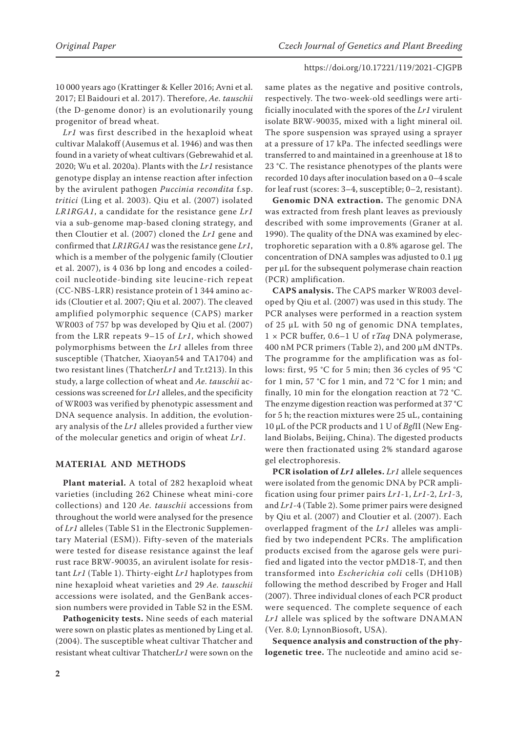10 000 years ago (Krattinger & Keller 2016; Avni et al. 2017; El Baidouri et al. 2017). Therefore, *Ae. tauschii* (the D-genome donor) is an evolutionarily young progenitor of bread wheat.

*Lr1* was first described in the hexaploid wheat cultivar Malakoff (Ausemus et al. 1946) and was then found in a variety of wheat cultivars (Gebrewahid et al. 2020; Wu et al. 2020a). Plants with the *Lr1* resistance genotype display an intense reaction after infection by the avirulent pathogen *Puccinia recondita* f.sp. *tritici* (Ling et al. 2003). Qiu et al. (2007) isolated *LR1RGA1*, a candidate for the resistance gene *Lr1* via a sub-genome map-based cloning strategy, and then Cloutier et al. (2007) cloned the *Lr1* gene and confirmed that *LR1RGA1* was the resistance gene *Lr1*, which is a member of the polygenic family (Cloutier et al. 2007), is 4 036 bp long and encodes a coiledcoil nucleotide-binding site leucine-rich repeat (CC-NBS-LRR) resistance protein of 1 344 amino acids (Cloutier et al. 2007; Qiu et al. 2007). The cleaved amplified polymorphic sequence (CAPS) marker WR003 of 757 bp was developed by Qiu et al. (2007) from the LRR repeats 9–15 of *Lr1*, which showed polymorphisms between the *Lr1* alleles from three susceptible (Thatcher, Xiaoyan54 and TA1704) and two resistant lines (Thatcher*Lr1* and Tr.t213). In this study, a large collection of wheat and *Ae. tauschii* accessions was screened for *Lr1* alleles, and the specificity of WR003 was verified by phenotypic assessment and DNA sequence analysis. In addition, the evolutionary analysis of the *Lr1* alleles provided a further view of the molecular genetics and origin of wheat *Lr1*.

# **MATERIAL AND METHODS**

**Plant material.** A total of 282 hexaploid wheat varieties (including 262 Chinese wheat mini-core collections) and 120 *Ae. tauschii* accessions from throughout the world were analysed for the presence of *Lr1* alleles ([Table S1](https://www.agriculturejournals.cz/publicFiles/398018.pdf) in the Electronic Supplementary Material (ESM)). Fifty-seven of the materials were tested for disease resistance against the leaf rust race BRW-90035, an avirulent isolate for resistant *Lr1* (Table 1). Thirty-eight *Lr1* haplotypes from nine hexaploid wheat varieties and 29 *Ae. tauschii* accessions were isolated, and the GenBank accession numbers were provided in [Table S2](https://www.agriculturejournals.cz/publicFiles/398018.pdf) in the ESM.

**Pathogenicity tests.** Nine seeds of each material were sown on plastic plates as mentioned by Ling et al. (2004). The susceptible wheat cultivar Thatcher and resistant wheat cultivar Thatcher*Lr1* were sown on the

same plates as the negative and positive controls, respectively. The two-week-old seedlings were artificially inoculated with the spores of the *Lr1* virulent isolate BRW-90035, mixed with a light mineral oil. The spore suspension was sprayed using a sprayer at a pressure of 17 kPa. The infected seedlings were transferred to and maintained in a greenhouse at 18 to 23 °C. The resistance phenotypes of the plants were recorded 10 days after inoculation based on a 0–4 scale for leaf rust (scores: 3–4, susceptible; 0–2, resistant).

**Genomic DNA extraction.** The genomic DNA was extracted from fresh plant leaves as previously described with some improvements (Graner at al. 1990). The quality of the DNA was examined by electrophoretic separation with a 0.8% agarose gel. The concentration of DNA samples was adjusted to 0.1 µg per µL for the subsequent polymerase chain reaction (PCR) amplification.

**CAPS analysis.** The CAPS marker WR003 developed by Qiu et al. (2007) was used in this study. The PCR analyses were performed in a reaction system of 25 µL with 50 ng of genomic DNA templates, 1 × PCR buffer, 0.6–1 U of r*Taq* DNA polymerase, 400 nM PCR primers (Table 2), and 200 µM dNTPs. The programme for the amplification was as follows: first, 95 °C for 5 min; then 36 cycles of 95 °C for 1 min, 57 °C for 1 min, and 72 °C for 1 min; and finally, 10 min for the elongation reaction at 72 °C. The enzyme digestion reaction was performed at 37 °C for 5 h; the reaction mixtures were 25 uL, containing 10 µL of the PCR products and 1 U of *Bgl*II (New England Biolabs, Beijing, China). The digested products were then fractionated using 2% standard agarose gel electrophoresis.

**PCR isolation of** *Lr1* **alleles.** *Lr1* allele sequences were isolated from the genomic DNA by PCR amplification using four primer pairs *Lr1*-1, *Lr1*-2, *Lr1*-3, and *Lr1*-4 (Table 2). Some primer pairs were designed by Qiu et al. (2007) and Cloutier et al. (2007). Each overlapped fragment of the *Lr1* alleles was amplified by two independent PCRs. The amplification products excised from the agarose gels were purified and ligated into the vector pMD18-T, and then transformed into *Escherichia coli* cells (DH10B) following the method described by Froger and Hall (2007). Three individual clones of each PCR product were sequenced. The complete sequence of each *Lr1* allele was spliced by the software DNAMAN (Ver. 8.0; LynnonBiosoft, USA).

**Sequence analysis and construction of the phylogenetic tree.** The nucleotide and amino acid se-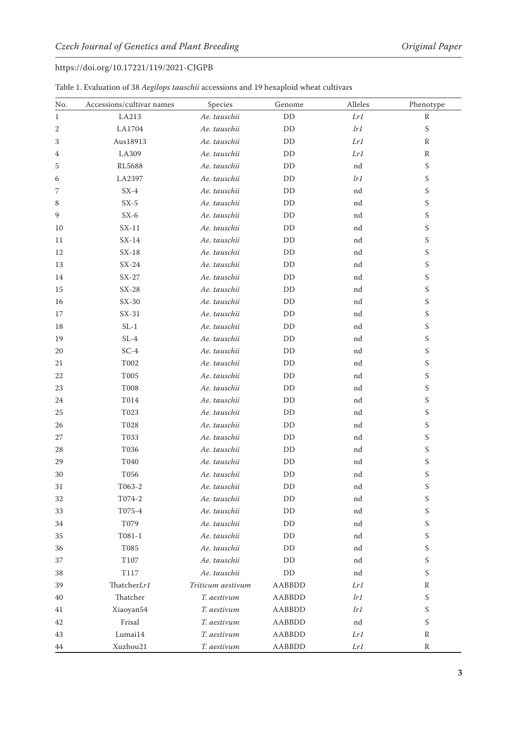| Table 1. Evaluation of 38 Aegilops tauschii accessions and 19 hexaploid wheat cultivars |  |  |  |  |
|-----------------------------------------------------------------------------------------|--|--|--|--|
|-----------------------------------------------------------------------------------------|--|--|--|--|

| No.         | Accessions/cultivar names | Species           | Genome        | Alleles | Phenotype                 |
|-------------|---------------------------|-------------------|---------------|---------|---------------------------|
| $\mathbf 1$ | LA213                     | Ae. tauschii      | DD            | Lr1     | ${\mathbb R}$             |
| 2           | LA1704                    | Ae. tauschii      | DD            | lr1     | S                         |
| 3           | Aus18913                  | Ae. tauschii      | DD            | Lr1     | R                         |
| 4           | LA309                     | Ae. tauschii      | DD            | Lr1     | $\mathbb R$               |
| 5           | RL5688                    | Ae. tauschii      | DD            | nd      | S                         |
| 6           | LA2397                    | Ae. tauschii      | DD            | lr1     | S                         |
| 7           | $SX-4$                    | Ae. tauschii      | DD            | nd      | S                         |
| 8           | $SX-5$                    | Ae. tauschii      | DD            | nd      | S                         |
| 9           | $SX-6$                    | Ae. tauschii      | DD            | nd      | S                         |
| 10          | $SX-11$                   | Ae. tauschii      | DD            | nd      | S                         |
| 11          | $SX-14$                   | Ae. tauschii      | DD            | nd      | S                         |
| 12          | $SX-18$                   | Ae. tauschii      | DD            | nd      | S                         |
| 13          | $SX-24$                   | Ae. tauschii      | DD            | nd      | S                         |
| 14          | $SX-27$                   | Ae. tauschii      | DD            | nd      | S                         |
| 15          | $SX-28$                   | Ae. tauschii      | DD            | nd      | S                         |
| 16          | $SX-30$                   | Ae. tauschii      | DD            | nd      | S                         |
| 17          | $SX-31$                   | Ae. tauschii      | DD            | nd      | S                         |
| 18          | $SL-1$                    | Ae. tauschii      | DD            | nd      | S                         |
| 19          | $SL-4$                    | Ae. tauschii      | DD            | nd      | S                         |
| 20          | $SC-4$                    | Ae. tauschii      | DD            | nd      | S                         |
| 21          | T002                      | Ae. tauschii      | DD            | nd      | S                         |
| 22          | T005                      | Ae. tauschii      | DD            | nd      | S                         |
| 23          | <b>T008</b>               | Ae. tauschii      | DD            | nd      | S                         |
| 24          | T014                      | Ae. tauschii      | DD            | nd      | S                         |
| 25          | T023                      | Ae. tauschii      | DD            | nd      | S                         |
| 26          | T028                      | Ae. tauschii      | DD            | nd      | S                         |
| 27          | T033                      | Ae. tauschii      | DD            | nd      | S                         |
| 28          | T036                      | Ae. tauschii      | DD            | nd      | S                         |
| 29          | T040                      | Ae. tauschii      | DD            | nd      | S                         |
| 30          | T056                      | Ae. tauschii      | DD            | nd      | S                         |
| 31          | T063-2                    | Ae. tauschii      | DD            | nd      | S                         |
| 32          | T074-2                    | Ae. tauschii      | DD            | nd      | S                         |
| 33          | T075-4                    | Ae. tauschii      | DD            | nd      | S                         |
| 34          | T079                      | Ae. tauschii      | DD            | nd      | S                         |
| 35          | T081-1                    | Ae. tauschii      | DD            | nd      | S                         |
| 36          | T085                      | Ae. tauschii      | DD            | nd      | S                         |
| 37          | T107                      | Ae. tauschii      | DD            | nd      | S                         |
| 38          | T117                      | Ae. tauschii      | $\rm{DD}$     | nd      | S                         |
| 39          | ThatcherLr1               | Triticum aestivum | AABBDD        | Lr1     | $\, {\mathbb R}$          |
| 40          | Thatcher                  | T. aestivum       | <b>AABBDD</b> | lr1     | $\boldsymbol{\mathsf{S}}$ |
| 41          | Xiaoyan54                 | T. aestivum       | AABBDD        | lr1     | S                         |
| 42          | Frisal                    | T. aestivum       | AABBDD        | nd      | S                         |
| 43          | Lumai14                   | T. aestivum       | AABBDD        | Lr1     | R                         |
| 44          | Xuzhou21                  | T. aestivum       | <b>AABBDD</b> | Lr1     | $\mathbb R$               |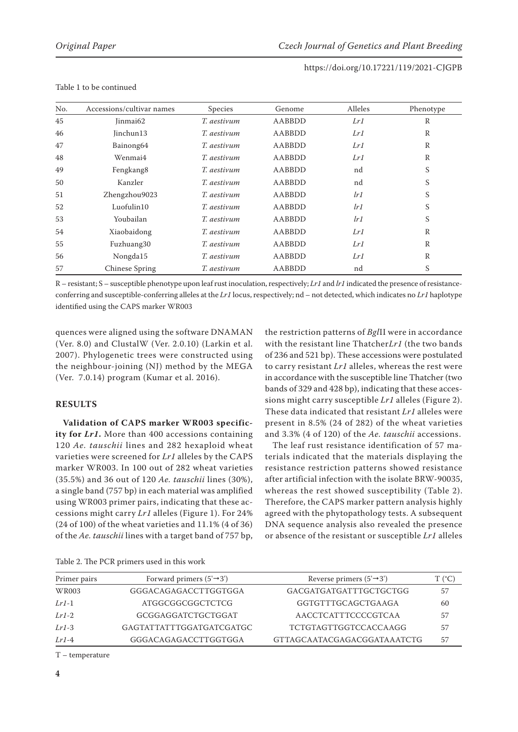| No. | Accessions/cultivar names | Species     | Genome | Alleles | Phenotype    |
|-----|---------------------------|-------------|--------|---------|--------------|
| 45  | Jinmai62                  | T. aestivum | AABBDD | Lr1     | R            |
| 46  | Jinchun13                 | T. aestivum | AABBDD | Lr1     | R            |
| 47  | Bainong64                 | T. aestivum | AABBDD | Lr1     | R            |
| 48  | Wenmai4                   | T. aestivum | AABBDD | Lr1     | R            |
| 49  | Fengkang8                 | T. aestivum | AABBDD | nd      | S            |
| 50  | Kanzler                   | T. aestivum | AABBDD | nd      | S            |
| 51  | Zhengzhou9023             | T. aestivum | AABBDD | lr1     | S            |
| 52  | Luofulin10                | T. aestivum | AABBDD | lr1     | S            |
| 53  | Youbailan                 | T. aestivum | AABBDD | lr1     | S            |
| 54  | Xiaobaidong               | T. aestivum | AABBDD | Lr1     | R            |
| 55  | Fuzhuang30                | T. aestivum | AABBDD | Lr1     | R            |
| 56  | Nongda15                  | T. aestivum | AABBDD | Lr1     | $\mathbb{R}$ |
| 57  | Chinese Spring            | T. aestivum | AABBDD | nd      | S            |

#### Table 1 to be continued

R – resistant; S – susceptible phenotype upon leaf rust inoculation, respectively; *Lr1* and *lr1* indicated the presence of resistanceconferring and susceptible-conferring alleles at the *Lr1* locus, respectively; nd – not detected, which indicates no *Lr1* haplotype identified using the CAPS marker WR003

quences were aligned using the software DNAMAN (Ver. 8.0) and ClustalW (Ver. 2.0.10) (Larkin et al. 2007). Phylogenetic trees were constructed using the neighbour-joining (NJ) method by the MEGA (Ver. 7.0.14) program (Kumar et al. 2016).

# **RESULTS**

**Validation of CAPS marker WR003 specificity for** *Lr1***.** More than 400 accessions containing 120 *Ae. tauschii* lines and 282 hexaploid wheat varieties were screened for *Lr1* alleles by the CAPS marker WR003. In 100 out of 282 wheat varieties (35.5%) and 36 out of 120 *Ae. tauschii* lines (30%), a single band (757 bp) in each material was amplified using WR003 primer pairs, indicating that these accessions might carry *Lr1* alleles (Figure 1). For 24% (24 of 100) of the wheat varieties and 11.1% (4 of 36) of the *Ae. tauschii* lines with a target band of 757 bp,

the restriction patterns of *Bgl*II were in accordance with the resistant line Thatcher*Lr1* (the two bands of 236 and 521 bp). These accessions were postulated to carry resistant *Lr1* alleles, whereas the rest were in accordance with the susceptible line Thatcher (two bands of 329 and 428 bp), indicating that these accessions might carry susceptible *Lr1* alleles (Figure 2). These data indicated that resistant *Lr1* alleles were present in 8.5% (24 of 282) of the wheat varieties and 3.3% (4 of 120) of the *Ae. tauschii* accessions.

The leaf rust resistance identification of 57 materials indicated that the materials displaying the resistance restriction patterns showed resistance after artificial infection with the isolate BRW-90035, whereas the rest showed susceptibility (Table 2). Therefore, the CAPS marker pattern analysis highly agreed with the phytopathology tests. A subsequent DNA sequence analysis also revealed the presence or absence of the resistant or susceptible *Lr1* alleles

| Table 2. The PCR primers used in this work |  |
|--------------------------------------------|--|
|--------------------------------------------|--|

| Primer pairs | Forward primers $(5' \rightarrow 3')$ | Reverse primers $(5' \rightarrow 3')$ | $\mathrm{T}$ (°C) |
|--------------|---------------------------------------|---------------------------------------|-------------------|
| WR003        | GGGACAGAGACCTTGGTGGA                  | GACGATGATGATTTGCTGCTGG                | 57                |
| $Lr1-1$      | ATGGCGGCGGCTCTCG                      | GGTGTTTGCAGCTGAAGA                    | 60                |
| $Lr1-2$      | GCGGAGGATCTGCTGGAT                    | AACCTCATTTCCCCGTCAA                   | 57                |
| $Lr1-3$      | GAGTATTATTTGGATGATCGATGC              | <b>TCTGTAGTTGGTCCACCAAGG</b>          | 57                |
| $Lr1-4$      | GGGACAGAGACCTTGGTGGA                  | GTTAGCAATACGAGACGGATAAATCTG           | 57                |

T – temperature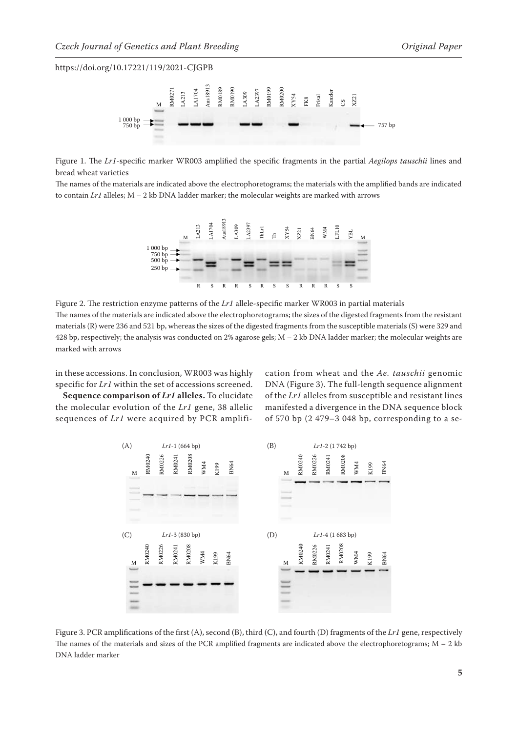

Figure 1. The *Lr1*-specific marker WR003 amplified the specific fragments in the partial *Aegilops tauschii* lines and bread wheat varieties

The names of the materials are indicated above the electrophoretograms; the materials with the amplified bands are indicated to contain *Lr1* alleles; M – 2 kb DNA ladder marker; the molecular weights are marked with arrows



Figure 2. The restriction enzyme patterns of the *Lr1* allele-specific marker WR003 in partial materials The names of the materials are indicated above the electrophoretograms; the sizes of the digested fragments from the resistant materials (R) were 236 and 521 bp, whereas the sizes of the digested fragments from the susceptible materials (S) were 329 and 428 bp, respectively; the analysis was conducted on 2% agarose gels; M – 2 kb DNA ladder marker; the molecular weights are marked with arrows

in these accessions. In conclusion, WR003 was highly specific for *Lr1* within the set of accessions screened.

**Sequence comparison of** *Lr1* **alleles.** To elucidate the molecular evolution of the *Lr1* gene, 38 allelic sequences of *Lr1* were acquired by PCR amplification from wheat and the *Ae. tauschii* genomic DNA (Figure 3). The full-length sequence alignment of the *Lr1* alleles from susceptible and resistant lines manifested a divergence in the DNA sequence block of 570 bp (2 479–3 048 bp, corresponding to a se-



Figure 3. PCR amplifications of the first (A), second (B), third (C), and fourth (D) fragments of the *Lr1* gene, respectively The names of the materials and sizes of the PCR amplified fragments are indicated above the electrophoretograms;  $M - 2$  kb DNA ladder marker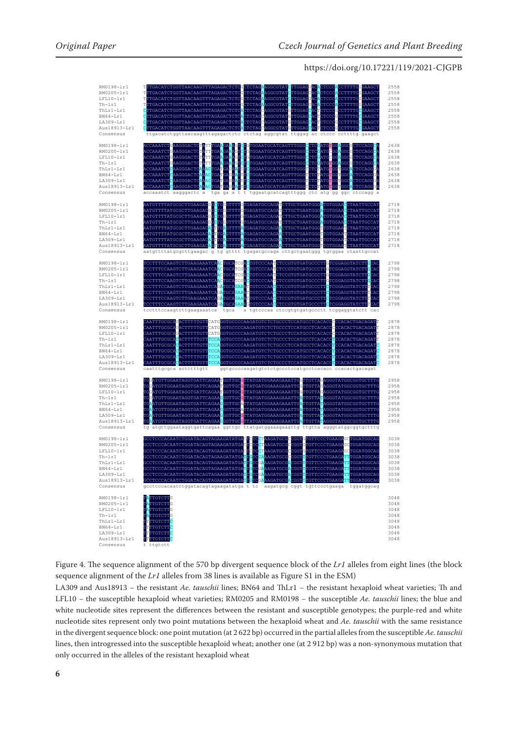

Figure 4. The sequence alignment of the 570 bp divergent sequence block of the *Lr1* alleles from eight lines (the block sequence alignment of the *Lr1* alleles from 38 lines is available as [Figure S1](https://www.agriculturejournals.cz/publicFiles/398017.tif) in the ESM)

LA309 and Aus18913 − the resistant *Ae. tauschii* lines; BN64 and ThLr1 − the resistant hexaploid wheat varieties; Th and LFL10 − the susceptible hexaploid wheat varieties; RM0205 and RM0198 − the susceptible *Ae. tauschii* lines; the blue and white nucleotide sites represent the differences between the resistant and susceptible genotypes; the purple-red and white nucleotide sites represent only two point mutations between the hexaploid wheat and *Ae. tauschii* with the same resistance in the divergent sequence block: one point mutation (at 2 622 bp) occurred in the partial alleles from the susceptible *Ae. tauschii*  lines, then introgressed into the susceptible hexaploid wheat; another one (at 2 912 bp) was a non-synonymous mutation that only occurred in the alleles of the resistant hexaploid wheat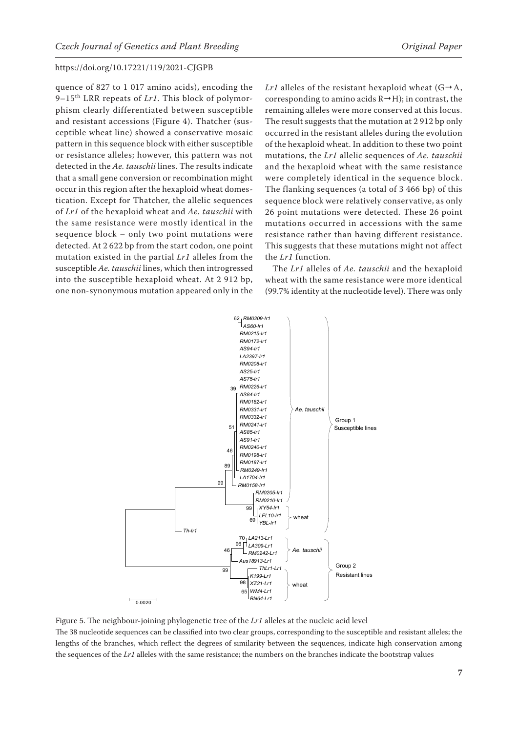quence of 827 to 1 017 amino acids), encoding the 9–15th LRR repeats of *Lr1*. This block of polymorphism clearly differentiated between susceptible and resistant accessions (Figure 4). Thatcher (susceptible wheat line) showed a conservative mosaic pattern in this sequence block with either susceptible or resistance alleles; however, this pattern was not detected in the *Ae. tauschii* lines. The results indicate that a small gene conversion or recombination might occur in this region after the hexaploid wheat domestication. Except for Thatcher, the allelic sequences of *Lr1* of the hexaploid wheat and *Ae. tauschii* with the same resistance were mostly identical in the sequence block – only two point mutations were detected. At 2 622 bp from the start codon, one point mutation existed in the partial *Lr1* alleles from the susceptible *Ae. tauschii* lines, which then introgressed into the susceptible hexaploid wheat. At 2 912 bp, one non-synonymous mutation appeared only in the *Lr1* alleles of the resistant hexaploid wheat  $(G \rightarrow A,$ corresponding to amino acids  $R \rightarrow H$ ); in contrast, the remaining alleles were more conserved at this locus. The result suggests that the mutation at 2 912 bp only occurred in the resistant alleles during the evolution of the hexaploid wheat. In addition to these two point mutations, the *Lr1* allelic sequences of *Ae. tauschii* and the hexaploid wheat with the same resistance were completely identical in the sequence block. The flanking sequences (a total of 3 466 bp) of this sequence block were relatively conservative, as only 26 point mutations were detected. These 26 point mutations occurred in accessions with the same resistance rather than having different resistance. This suggests that these mutations might not affect the *Lr1* function.

The *Lr1* alleles of *Ae. tauschii* and the hexaploid wheat with the same resistance were more identical (99.7% identity at the nucleotide level). There was only



Figure 5. The neighbour-joining phylogenetic tree of the  $Lr1$  alleles at the nucleic acid level The 38 nucleotide sequences can be classified into two clear groups, corresponding to the susceptible and resistant alleles; the lengths of the branches, which reflect the degrees of similarity between the sequences, indicate high conservation among the sequences of the *Lr1* alleles with the same resistance; the numbers on the branches indicate the bootstrap values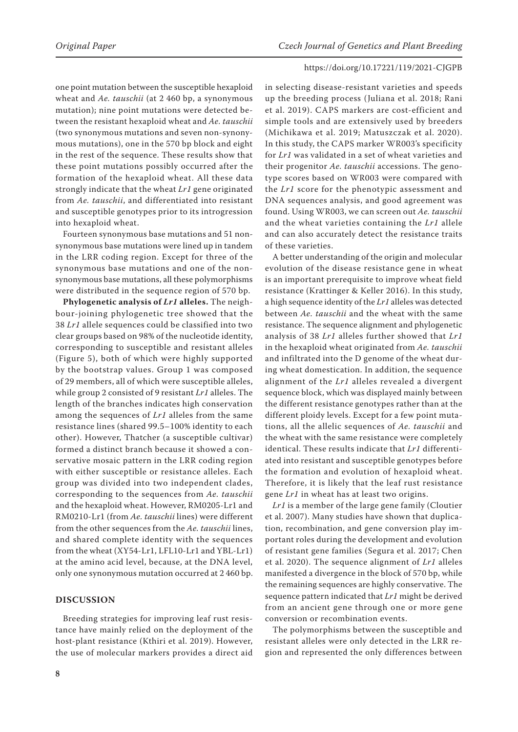one point mutation between the susceptible hexaploid wheat and *Ae. tauschii* (at 2 460 bp, a synonymous mutation); nine point mutations were detected between the resistant hexaploid wheat and *Ae. tauschii* (two synonymous mutations and seven non-synonymous mutations), one in the 570 bp block and eight in the rest of the sequence. These results show that these point mutations possibly occurred after the formation of the hexaploid wheat. All these data strongly indicate that the wheat *Lr1* gene originated from *Ae. tauschii*, and differentiated into resistant and susceptible genotypes prior to its introgression into hexaploid wheat.

Fourteen synonymous base mutations and 51 nonsynonymous base mutations were lined up in tandem in the LRR coding region. Except for three of the synonymous base mutations and one of the nonsynonymous base mutations, all these polymorphisms were distributed in the sequence region of 570 bp.

**Phylogenetic analysis of** *Lr1* **alleles.** The neighbour-joining phylogenetic tree showed that the 38 *Lr1* allele sequences could be classified into two clear groups based on 98% of the nucleotide identity, corresponding to susceptible and resistant alleles (Figure 5), both of which were highly supported by the bootstrap values. Group 1 was composed of 29 members, all of which were susceptible alleles, while group 2 consisted of 9 resistant *Lr1* alleles. The length of the branches indicates high conservation among the sequences of *Lr1* alleles from the same resistance lines (shared 99.5–100% identity to each other). However, Thatcher (a susceptible cultivar) formed a distinct branch because it showed a conservative mosaic pattern in the LRR coding region with either susceptible or resistance alleles. Each group was divided into two independent clades, corresponding to the sequences from *Ae. tauschii* and the hexaploid wheat. However, RM0205-Lr1 and RM0210-Lr1 (from *Ae. tauschii* lines) were different from the other sequences from the *Ae. tauschii* lines, and shared complete identity with the sequences from the wheat (XY54-Lr1, LFL10-Lr1 and YBL-Lr1) at the amino acid level, because, at the DNA level, only one synonymous mutation occurred at 2 460 bp.

#### **DISCUSSION**

Breeding strategies for improving leaf rust resistance have mainly relied on the deployment of the host-plant resistance (Kthiri et al. 2019). However, the use of molecular markers provides a direct aid

in selecting disease-resistant varieties and speeds up the breeding process (Juliana et al. 2018; Rani et al. 2019). CAPS markers are cost-efficient and simple tools and are extensively used by breeders (Michikawa et al. 2019; Matuszczak et al. 2020). In this study, the CAPS marker WR003's specificity for *Lr1* was validated in a set of wheat varieties and their progenitor *Ae. tauschii* accessions. The genotype scores based on WR003 were compared with the *Lr1* score for the phenotypic assessment and DNA sequences analysis, and good agreement was found. Using WR003, we can screen out *Ae. tauschii* and the wheat varieties containing the *Lr1* allele and can also accurately detect the resistance traits of these varieties.

A better understanding of the origin and molecular evolution of the disease resistance gene in wheat is an important prerequisite to improve wheat field resistance (Krattinger & Keller 2016). In this study, a high sequence identity of the *Lr1* alleles was detected between *Ae. tauschii* and the wheat with the same resistance. The sequence alignment and phylogenetic analysis of 38 *Lr1* alleles further showed that *Lr1* in the hexaploid wheat originated from *Ae. tauschii* and infiltrated into the D genome of the wheat during wheat domestication. In addition, the sequence alignment of the *Lr1* alleles revealed a divergent sequence block, which was displayed mainly between the different resistance genotypes rather than at the different ploidy levels. Except for a few point mutations, all the allelic sequences of *Ae. tauschii* and the wheat with the same resistance were completely identical. These results indicate that *Lr1* differentiated into resistant and susceptible genotypes before the formation and evolution of hexaploid wheat. Therefore, it is likely that the leaf rust resistance gene *Lr1* in wheat has at least two origins.

*Lr1* is a member of the large gene family (Cloutier et al. 2007). Many studies have shown that duplication, recombination, and gene conversion play important roles during the development and evolution of resistant gene families (Segura et al. 2017; Chen et al. 2020). The sequence alignment of *Lr1* alleles manifested a divergence in the block of 570 bp, while the remaining sequences are highly conservative. The sequence pattern indicated that *Lr1* might be derived from an ancient gene through one or more gene conversion or recombination events.

The polymorphisms between the susceptible and resistant alleles were only detected in the LRR region and represented the only differences between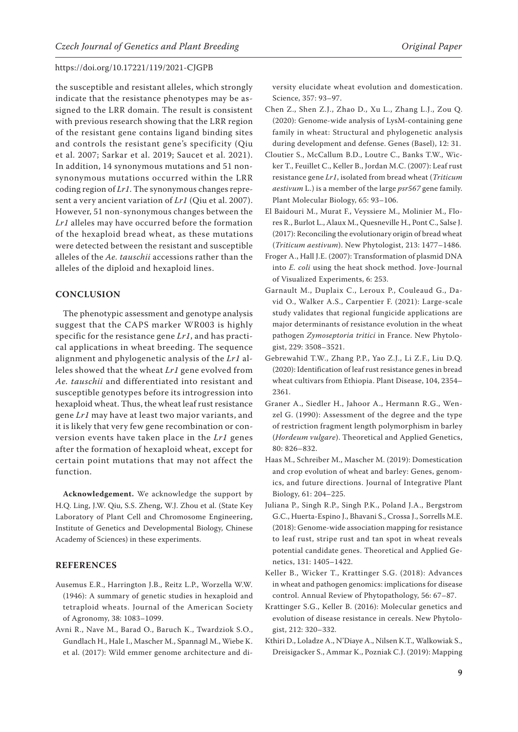the susceptible and resistant alleles, which strongly indicate that the resistance phenotypes may be assigned to the LRR domain. The result is consistent with previous research showing that the LRR region of the resistant gene contains ligand binding sites and controls the resistant gene's specificity (Qiu et al. 2007; Sarkar et al. 2019; Saucet et al. 2021). In addition, 14 synonymous mutations and 51 nonsynonymous mutations occurred within the LRR coding region of *Lr1*. The synonymous changes represent a very ancient variation of *Lr1* (Qiu et al. 2007). However, 51 non-synonymous changes between the *Lr1* alleles may have occurred before the formation of the hexaploid bread wheat, as these mutations were detected between the resistant and susceptible alleles of the *Ae. tauschii* accessions rather than the alleles of the diploid and hexaploid lines.

#### **CONCLUSION**

The phenotypic assessment and genotype analysis suggest that the CAPS marker WR003 is highly specific for the resistance gene *Lr1*, and has practical applications in wheat breeding. The sequence alignment and phylogenetic analysis of the *Lr1* alleles showed that the wheat *Lr1* gene evolved from *Ae. tauschii* and differentiated into resistant and susceptible genotypes before its introgression into hexaploid wheat. Thus, the wheat leaf rust resistance gene *Lr1* may have at least two major variants, and it is likely that very few gene recombination or conversion events have taken place in the *Lr1* genes after the formation of hexaploid wheat, except for certain point mutations that may not affect the function.

**Acknowledgement.** We acknowledge the support by H.Q. Ling, J.W. Qiu, S.S. Zheng, W.J. Zhou et al. (State Key Laboratory of Plant Cell and Chromosome Engineering, Institute of Genetics and Developmental Biology, Chinese Academy of Sciences) in these experiments.

# **REFERENCES**

- Ausemus E.R., Harrington J.B., Reitz L.P., Worzella W.W. (1946): A summary of genetic studies in hexaploid and tetraploid wheats. Journal of the American Society of Agronomy, 38: 1083–1099.
- Avni R., Nave M., Barad O., Baruch K., Twardziok S.O., Gundlach H., Hale I., Mascher M., Spannagl M., Wiebe K. et al. (2017): Wild emmer genome architecture and di-

versity elucidate wheat evolution and domestication. Science, 357: 93–97.

- Chen Z., Shen Z.J., Zhao D., Xu L., Zhang L.J., Zou Q. (2020): Genome-wide analysis of LysM-containing gene family in wheat: Structural and phylogenetic analysis during development and defense. Genes (Basel), 12: 31.
- Cloutier S., McCallum B.D., Loutre C., Banks T.W., Wicker T., Feuillet C., Keller B., Jordan M.C. (2007): Leaf rust resistance gene *Lr1*, isolated from bread wheat (*Triticum aestivum* L.) is a member of the large *psr567* gene family. Plant Molecular Biology, 65: 93–106.
- El Baidouri M., Murat F., Veyssiere M., Molinier M., Flores R., Burlot L., Alaux M., Quesneville H., Pont C., Salse J. (2017): Reconciling the evolutionary origin of bread wheat (*Triticum aestivum*). New Phytologist, 213: 1477–1486.
- Froger A., Hall J.E. (2007): Transformation of plasmid DNA into *E. coli* using the heat shock method. Jove-Journal of Visualized Experiments, 6: 253.
- Garnault M., Duplaix C., Leroux P., Couleaud G., David O., Walker A.S., Carpentier F. (2021): Large-scale study validates that regional fungicide applications are major determinants of resistance evolution in the wheat pathogen *Zymoseptoria tritici* in France. New Phytologist, 229: 3508–3521.
- Gebrewahid T.W., Zhang P.P., Yao Z.J., Li Z.F., Liu D.Q. (2020): Identification of leaf rust resistance genes in bread wheat cultivars from Ethiopia. Plant Disease, 104, 2354– 2361.
- Graner A., Siedler H., Jahoor A., Hermann R.G., Wenzel G. (1990): Assessment of the degree and the type of restriction fragment length polymorphism in barley (*Hordeum vulgare*). Theoretical and Applied Genetics, 80: 826–832.
- Haas M., Schreiber M., Mascher M. (2019): Domestication and crop evolution of wheat and barley: Genes, genomics, and future directions. Journal of Integrative Plant Biology, 61: 204–225.
- Juliana P., Singh R.P., Singh P.K., Poland J.A., Bergstrom G.C., Huerta-Espino J., Bhavani S., Crossa J., Sorrells M.E. (2018): Genome-wide association mapping for resistance to leaf rust, stripe rust and tan spot in wheat reveals potential candidate genes. Theoretical and Applied Genetics, 131: 1405–1422.
- Keller B., Wicker T., Krattinger S.G. (2018): Advances in wheat and pathogen genomics: implications for disease control. Annual Review of Phytopathology, 56: 67–87.
- Krattinger S.G., Keller B. (2016): Molecular genetics and evolution of disease resistance in cereals. New Phytologist, 212: 320–332.
- Kthiri D., Loladze A., N'Diaye A., Nilsen K.T., Walkowiak S., Dreisigacker S., Ammar K., Pozniak C.J. (2019): Mapping